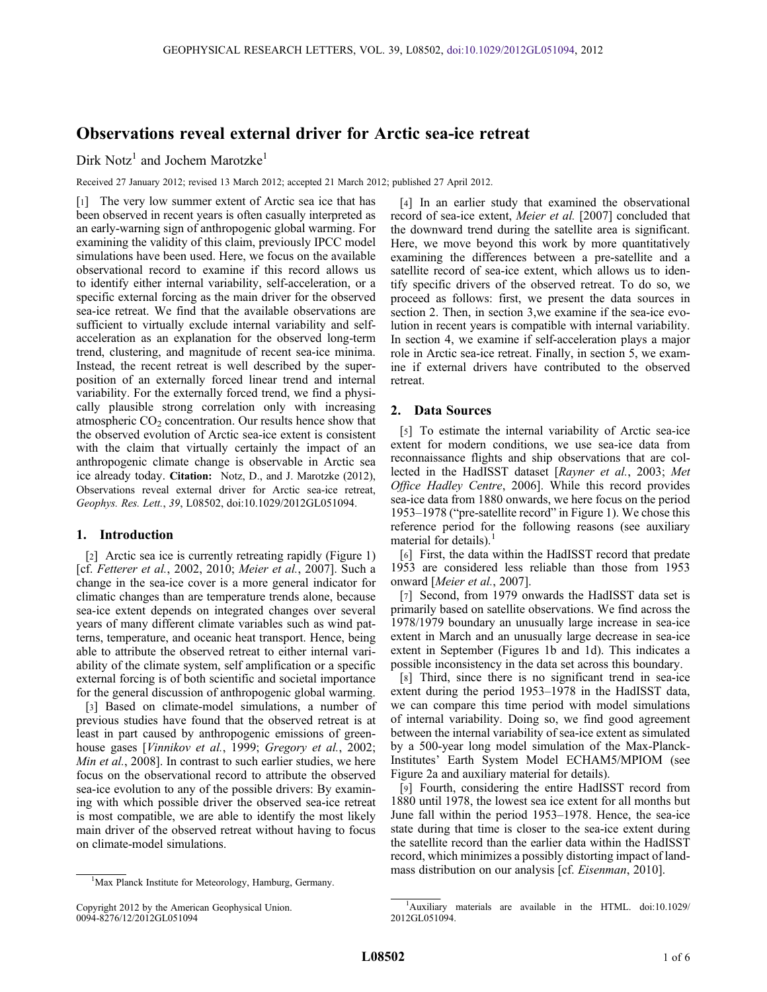# Observations reveal external driver for Arctic sea-ice retreat

## Dirk Notz<sup>1</sup> and Jochem Marotzke<sup>1</sup>

Received 27 January 2012; revised 13 March 2012; accepted 21 March 2012; published 27 April 2012.

[1] The very low summer extent of Arctic sea ice that has been observed in recent years is often casually interpreted as an early-warning sign of anthropogenic global warming. For examining the validity of this claim, previously IPCC model simulations have been used. Here, we focus on the available observational record to examine if this record allows us to identify either internal variability, self-acceleration, or a specific external forcing as the main driver for the observed sea-ice retreat. We find that the available observations are sufficient to virtually exclude internal variability and selfacceleration as an explanation for the observed long-term trend, clustering, and magnitude of recent sea-ice minima. Instead, the recent retreat is well described by the superposition of an externally forced linear trend and internal variability. For the externally forced trend, we find a physically plausible strong correlation only with increasing atmospheric  $CO<sub>2</sub>$  concentration. Our results hence show that the observed evolution of Arctic sea-ice extent is consistent with the claim that virtually certainly the impact of an anthropogenic climate change is observable in Arctic sea ice already today. Citation: Notz, D., and J. Marotzke (2012), Observations reveal external driver for Arctic sea-ice retreat, Geophys. Res. Lett., 39, L08502, doi:10.1029/2012GL051094.

#### 1. Introduction

[2] Arctic sea ice is currently retreating rapidly (Figure 1) [cf. Fetterer et al., 2002, 2010; Meier et al., 2007]. Such a change in the sea-ice cover is a more general indicator for climatic changes than are temperature trends alone, because sea-ice extent depends on integrated changes over several years of many different climate variables such as wind patterns, temperature, and oceanic heat transport. Hence, being able to attribute the observed retreat to either internal variability of the climate system, self amplification or a specific external forcing is of both scientific and societal importance for the general discussion of anthropogenic global warming.

[3] Based on climate-model simulations, a number of previous studies have found that the observed retreat is at least in part caused by anthropogenic emissions of greenhouse gases [Vinnikov et al., 1999; Gregory et al., 2002; Min et al., 2008]. In contrast to such earlier studies, we here focus on the observational record to attribute the observed sea-ice evolution to any of the possible drivers: By examining with which possible driver the observed sea-ice retreat is most compatible, we are able to identify the most likely main driver of the observed retreat without having to focus on climate-model simulations.

[4] In an earlier study that examined the observational record of sea-ice extent, Meier et al. [2007] concluded that the downward trend during the satellite area is significant. Here, we move beyond this work by more quantitatively examining the differences between a pre-satellite and a satellite record of sea-ice extent, which allows us to identify specific drivers of the observed retreat. To do so, we proceed as follows: first, we present the data sources in section 2. Then, in section 3,we examine if the sea-ice evolution in recent years is compatible with internal variability. In section 4, we examine if self-acceleration plays a major role in Arctic sea-ice retreat. Finally, in section 5, we examine if external drivers have contributed to the observed retreat.

#### 2. Data Sources

[5] To estimate the internal variability of Arctic sea-ice extent for modern conditions, we use sea-ice data from reconnaissance flights and ship observations that are collected in the HadISST dataset [Rayner et al., 2003; Met Office Hadley Centre, 2006]. While this record provides sea-ice data from 1880 onwards, we here focus on the period 1953–1978 ("pre-satellite record" in Figure 1). We chose this reference period for the following reasons (see auxiliary material for details).

[6] First, the data within the HadISST record that predate 1953 are considered less reliable than those from 1953 onward [Meier et al., 2007].

[7] Second, from 1979 onwards the HadISST data set is primarily based on satellite observations. We find across the 1978/1979 boundary an unusually large increase in sea-ice extent in March and an unusually large decrease in sea-ice extent in September (Figures 1b and 1d). This indicates a possible inconsistency in the data set across this boundary.

[8] Third, since there is no significant trend in sea-ice extent during the period 1953–1978 in the HadISST data, we can compare this time period with model simulations of internal variability. Doing so, we find good agreement between the internal variability of sea-ice extent as simulated by a 500-year long model simulation of the Max-Planck-Institutes' Earth System Model ECHAM5/MPIOM (see Figure 2a and auxiliary material for details).

[9] Fourth, considering the entire HadISST record from 1880 until 1978, the lowest sea ice extent for all months but June fall within the period 1953–1978. Hence, the sea-ice state during that time is closer to the sea-ice extent during the satellite record than the earlier data within the HadISST record, which minimizes a possibly distorting impact of landmass distribution on our analysis [cf. *Eisenman*, 2010].

<sup>&</sup>lt;sup>1</sup>Max Planck Institute for Meteorology, Hamburg, Germany.

Copyright 2012 by the American Geophysical Union. 0094-8276/12/2012GL051094

<sup>&</sup>lt;sup>1</sup>Auxiliary materials are available in the HTML. doi:10.1029/ 2012GL051094.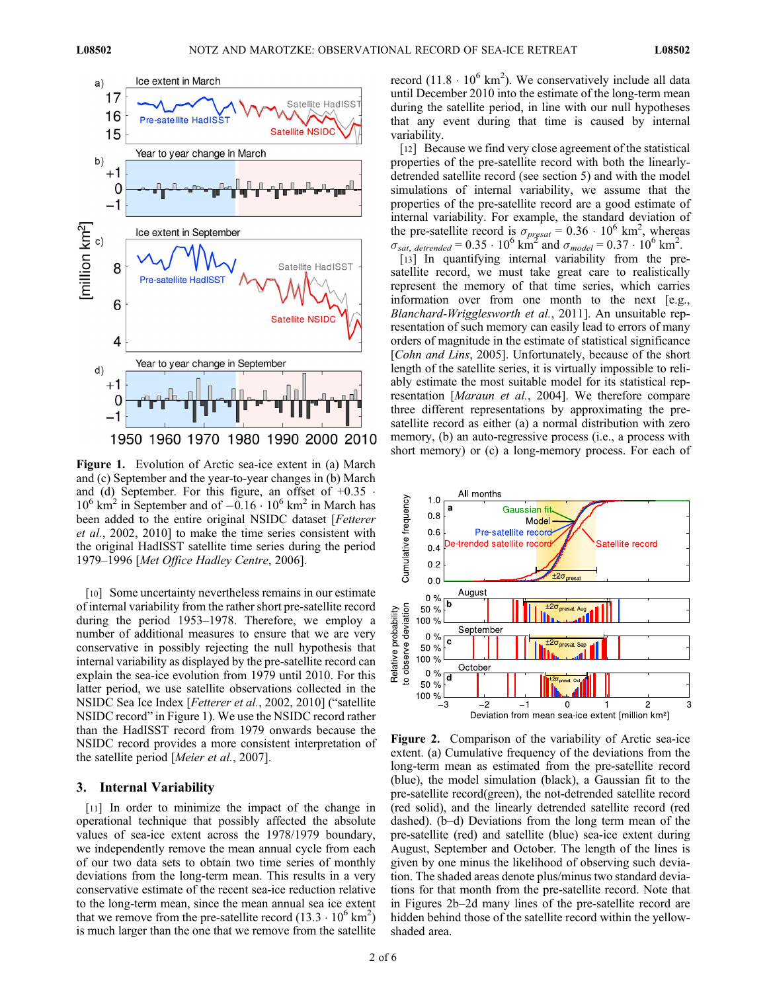

Figure 1. Evolution of Arctic sea-ice extent in (a) March and (c) September and the year-to-year changes in (b) March and (d) September. For this figure, an offset of  $+0.35$ .  $10^6$  km<sup>2</sup> in September and of  $-0.16 \cdot 10^6$  km<sup>2</sup> in March has been added to the entire original NSIDC dataset [Fetterer et al., 2002, 2010] to make the time series consistent with the original HadISST satellite time series during the period 1979–1996 [Met Office Hadley Centre, 2006].

[10] Some uncertainty nevertheless remains in our estimate of internal variability from the rather short pre-satellite record during the period 1953–1978. Therefore, we employ a number of additional measures to ensure that we are very conservative in possibly rejecting the null hypothesis that internal variability as displayed by the pre-satellite record can explain the sea-ice evolution from 1979 until 2010. For this latter period, we use satellite observations collected in the NSIDC Sea Ice Index [Fetterer et al., 2002, 2010] ("satellite NSIDC record" in Figure 1). We use the NSIDC record rather than the HadISST record from 1979 onwards because the NSIDC record provides a more consistent interpretation of the satellite period [Meier et al., 2007].

#### 3. Internal Variability

[11] In order to minimize the impact of the change in operational technique that possibly affected the absolute values of sea-ice extent across the 1978/1979 boundary, we independently remove the mean annual cycle from each of our two data sets to obtain two time series of monthly deviations from the long-term mean. This results in a very conservative estimate of the recent sea-ice reduction relative to the long-term mean, since the mean annual sea ice extent that we remove from the pre-satellite record  $(13.3 \cdot 10^6 \text{ km}^2)$ is much larger than the one that we remove from the satellite

record  $(11.8 \cdot 10^6 \text{ km}^2)$ . We conservatively include all data until December 2010 into the estimate of the long-term mean during the satellite period, in line with our null hypotheses that any event during that time is caused by internal variability.

[12] Because we find very close agreement of the statistical properties of the pre-satellite record with both the linearlydetrended satellite record (see section 5) and with the model simulations of internal variability, we assume that the properties of the pre-satellite record are a good estimate of internal variability. For example, the standard deviation of the pre-satellite record is  $\sigma_{\text{presat}} = 0.36 \cdot 10^6 \text{ km}^2$ , whereas  $\sigma_{sat,detrended} = 0.35 \cdot 10^6$  km<sup>2</sup> and  $\sigma_{model} = 0.37 \cdot 10^6$  km<sup>2</sup>.

[13] In quantifying internal variability from the presatellite record, we must take great care to realistically represent the memory of that time series, which carries information over from one month to the next [e.g., Blanchard-Wrigglesworth et al., 2011]. An unsuitable representation of such memory can easily lead to errors of many orders of magnitude in the estimate of statistical significance [*Cohn and Lins*, 2005]. Unfortunately, because of the short length of the satellite series, it is virtually impossible to reliably estimate the most suitable model for its statistical representation [Maraun et al., 2004]. We therefore compare three different representations by approximating the presatellite record as either (a) a normal distribution with zero memory, (b) an auto-regressive process (i.e., a process with short memory) or (c) a long-memory process. For each of



Figure 2. Comparison of the variability of Arctic sea-ice extent. (a) Cumulative frequency of the deviations from the long-term mean as estimated from the pre-satellite record (blue), the model simulation (black), a Gaussian fit to the pre-satellite record(green), the not-detrended satellite record (red solid), and the linearly detrended satellite record (red dashed). (b–d) Deviations from the long term mean of the pre-satellite (red) and satellite (blue) sea-ice extent during August, September and October. The length of the lines is given by one minus the likelihood of observing such deviation. The shaded areas denote plus/minus two standard deviations for that month from the pre-satellite record. Note that in Figures 2b–2d many lines of the pre-satellite record are hidden behind those of the satellite record within the yellowshaded area.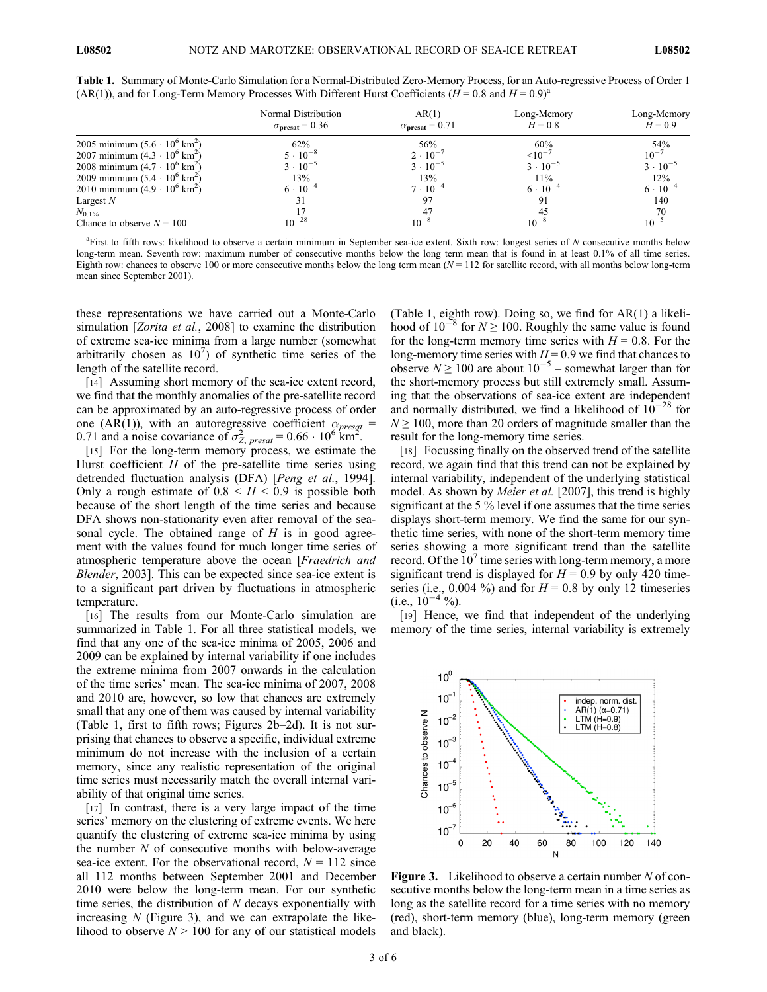|                                              | Normal Distribution<br>$\sigma_{\text{present}}$ = 0.36 | AR(1)<br>$\alpha_{\text{present}} = 0.71$ | Long-Memory<br>$H = 0.8$ | Long-Memory<br>$H = 0.9$ |
|----------------------------------------------|---------------------------------------------------------|-------------------------------------------|--------------------------|--------------------------|
| 2005 minimum $(5.6 \cdot 10^6 \text{ km}^2)$ | $62\%$                                                  | 56%                                       | 60%                      | 54%                      |
| 2007 minimum $(4.3 \cdot 10^6 \text{ km}^2)$ | $5 \cdot 10^{-8}$                                       | $2 \cdot 10^{-7}$                         | $10^{-7}$                | $10^{-7}$                |
| 2008 minimum $(4.7 \cdot 10^6 \text{ km}^2)$ | $3 \cdot 10^{-5}$                                       | $3 \cdot 10^{-5}$                         | $3 \cdot 10^{-5}$        | $3 \cdot 10^{-5}$        |
| 2009 minimum $(5.4 \cdot 10^6 \text{ km}^2)$ | 13%                                                     | 13%                                       | $11\%$                   | 12%                      |
| 2010 minimum $(4.9 \cdot 10^6 \text{ km}^2)$ | $6 \cdot 10^{-4}$                                       | $7 \cdot 10^{-4}$                         | $6 \cdot 10^{-4}$        | $6 \cdot 10^{-4}$        |
| Largest $N$                                  | 31                                                      | 97                                        | 91                       | 140                      |
| $N_{0.1\%}$                                  |                                                         | 47                                        | 45                       | 70                       |
| Chance to observe $N = 100$                  | $10^{-28}$                                              | $10^{-8}$                                 | $10^{-8}$                | $10^{-5}$                |

Table 1. Summary of Monte-Carlo Simulation for a Normal-Distributed Zero-Memory Process, for an Auto-regressive Process of Order 1 (AR(1)), and for Long-Term Memory Processes With Different Hurst Coefficients  $(H = 0.8$  and  $H = 0.9)^{a}$ 

<sup>a</sup>First to fifth rows: likelihood to observe a certain minimum in September sea-ice extent. Sixth row: longest series of N consecutive months below long-term mean. Seventh row: maximum number of consecutive months below the long term mean that is found in at least 0.1% of all time series. Eighth row: chances to observe 100 or more consecutive months below the long term mean  $(N = 112$  for satellite record, with all months below long-term mean since September 2001).

these representations we have carried out a Monte-Carlo simulation [*Zorita et al.*, 2008] to examine the distribution of extreme sea-ice minima from a large number (somewhat arbitrarily chosen as  $10^7$ ) of synthetic time series of the length of the satellite record.

[14] Assuming short memory of the sea-ice extent record, we find that the monthly anomalies of the pre-satellite record can be approximated by an auto-regressive process of order one (AR(1)), with an autoregressive coefficient  $\alpha_{\text{presat}} =$ 0.71 and a noise covariance of  $\sigma_{Z, \, presat}^2 = 0.66 \cdot 10^6$  km<sup>2</sup>.

[15] For the long-term memory process, we estimate the Hurst coefficient  $H$  of the pre-satellite time series using detrended fluctuation analysis (DFA) [Peng et al., 1994]. Only a rough estimate of  $0.8 \leq H \leq 0.9$  is possible both because of the short length of the time series and because DFA shows non-stationarity even after removal of the seasonal cycle. The obtained range of  $H$  is in good agreement with the values found for much longer time series of atmospheric temperature above the ocean [Fraedrich and *Blender*, 2003]. This can be expected since sea-ice extent is to a significant part driven by fluctuations in atmospheric temperature.

[16] The results from our Monte-Carlo simulation are summarized in Table 1. For all three statistical models, we find that any one of the sea-ice minima of 2005, 2006 and 2009 can be explained by internal variability if one includes the extreme minima from 2007 onwards in the calculation of the time series' mean. The sea-ice minima of 2007, 2008 and 2010 are, however, so low that chances are extremely small that any one of them was caused by internal variability (Table 1, first to fifth rows; Figures 2b–2d). It is not surprising that chances to observe a specific, individual extreme minimum do not increase with the inclusion of a certain memory, since any realistic representation of the original time series must necessarily match the overall internal variability of that original time series.

[17] In contrast, there is a very large impact of the time series' memory on the clustering of extreme events. We here quantify the clustering of extreme sea-ice minima by using the number  $N$  of consecutive months with below-average sea-ice extent. For the observational record,  $N = 112$  since all 112 months between September 2001 and December 2010 were below the long-term mean. For our synthetic time series, the distribution of  $N$  decays exponentially with increasing  $N$  (Figure 3), and we can extrapolate the likelihood to observe  $N > 100$  for any of our statistical models

(Table 1, eighth row). Doing so, we find for AR(1) a likelihood of  $10^{-8}$  for  $N \ge 100$ . Roughly the same value is found for the long-term memory time series with  $H = 0.8$ . For the long-memory time series with  $H = 0.9$  we find that chances to observe  $N \ge 100$  are about  $10^{-5}$  – somewhat larger than for the short-memory process but still extremely small. Assuming that the observations of sea-ice extent are independent and normally distributed, we find a likelihood of  $10^{-28}$  for  $N \ge 100$ , more than 20 orders of magnitude smaller than the result for the long-memory time series.

[18] Focussing finally on the observed trend of the satellite record, we again find that this trend can not be explained by internal variability, independent of the underlying statistical model. As shown by *Meier et al.* [2007], this trend is highly significant at the 5 % level if one assumes that the time series displays short-term memory. We find the same for our synthetic time series, with none of the short-term memory time series showing a more significant trend than the satellite record. Of the  $10<sup>7</sup>$  time series with long-term memory, a more significant trend is displayed for  $H = 0.9$  by only 420 timeseries (i.e., 0.004 %) and for  $H = 0.8$  by only 12 timeseries (i.e.,  $10^{-4}$ %).

[19] Hence, we find that independent of the underlying memory of the time series, internal variability is extremely



**Figure 3.** Likelihood to observe a certain number  $N$  of consecutive months below the long-term mean in a time series as long as the satellite record for a time series with no memory (red), short-term memory (blue), long-term memory (green and black).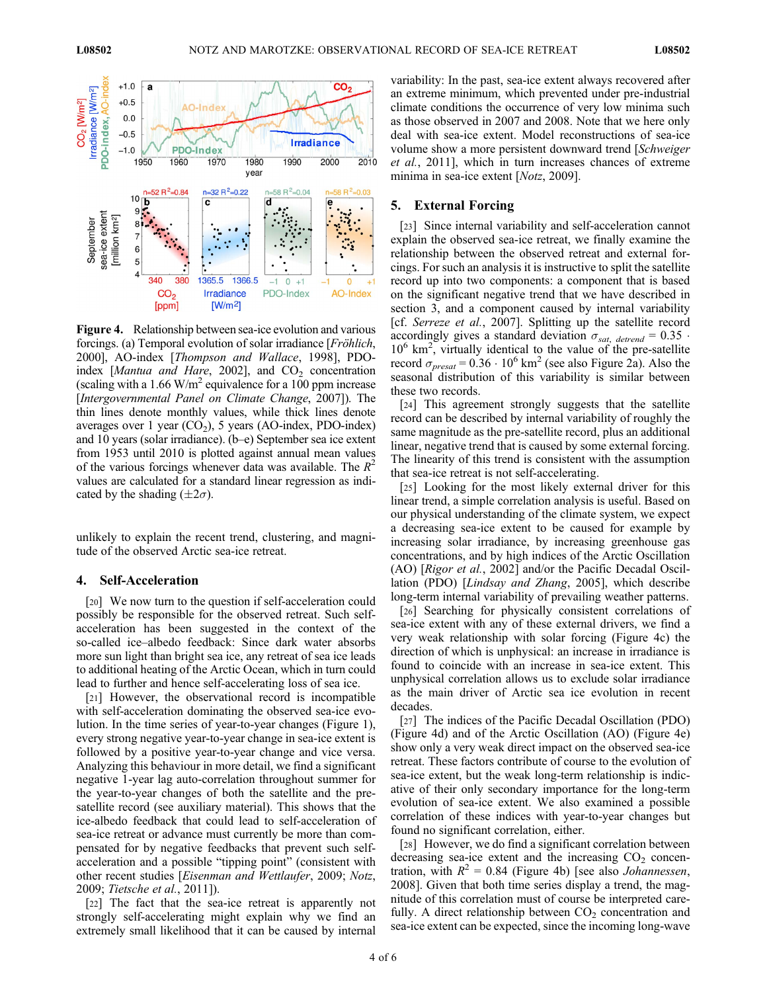

Figure 4. Relationship between sea-ice evolution and various forcings. (a) Temporal evolution of solar irradiance [Fröhlich, 2000], AO-index [Thompson and Wallace, 1998], PDOindex [Mantua and Hare, 2002], and  $CO<sub>2</sub>$  concentration (scaling with a 1.66 W/m<sup>2</sup> equivalence for a 100 ppm increase [Intergovernmental Panel on Climate Change, 2007]). The thin lines denote monthly values, while thick lines denote averages over 1 year  $(CO<sub>2</sub>)$ , 5 years (AO-index, PDO-index) and 10 years (solar irradiance). (b–e) September sea ice extent from 1953 until 2010 is plotted against annual mean values of the various forcings whenever data was available. The  $R^2$ values are calculated for a standard linear regression as indicated by the shading  $(\pm 2\sigma)$ .

unlikely to explain the recent trend, clustering, and magnitude of the observed Arctic sea-ice retreat.

#### 4. Self-Acceleration

[20] We now turn to the question if self-acceleration could possibly be responsible for the observed retreat. Such selfacceleration has been suggested in the context of the so-called ice–albedo feedback: Since dark water absorbs more sun light than bright sea ice, any retreat of sea ice leads to additional heating of the Arctic Ocean, which in turn could lead to further and hence self-accelerating loss of sea ice.

[21] However, the observational record is incompatible with self-acceleration dominating the observed sea-ice evolution. In the time series of year-to-year changes (Figure 1), every strong negative year-to-year change in sea-ice extent is followed by a positive year-to-year change and vice versa. Analyzing this behaviour in more detail, we find a significant negative 1-year lag auto-correlation throughout summer for the year-to-year changes of both the satellite and the presatellite record (see auxiliary material). This shows that the ice-albedo feedback that could lead to self-acceleration of sea-ice retreat or advance must currently be more than compensated for by negative feedbacks that prevent such selfacceleration and a possible "tipping point" (consistent with other recent studies [Eisenman and Wettlaufer, 2009; Notz, 2009; Tietsche et al., 2011]).

[22] The fact that the sea-ice retreat is apparently not strongly self-accelerating might explain why we find an extremely small likelihood that it can be caused by internal variability: In the past, sea-ice extent always recovered after an extreme minimum, which prevented under pre-industrial climate conditions the occurrence of very low minima such as those observed in 2007 and 2008. Note that we here only deal with sea-ice extent. Model reconstructions of sea-ice volume show a more persistent downward trend [Schweiger et al., 2011], which in turn increases chances of extreme minima in sea-ice extent [*Notz*, 2009].

### 5. External Forcing

[23] Since internal variability and self-acceleration cannot explain the observed sea-ice retreat, we finally examine the relationship between the observed retreat and external forcings. For such an analysis it is instructive to split the satellite record up into two components: a component that is based on the significant negative trend that we have described in section 3, and a component caused by internal variability [cf. Serreze et al., 2007]. Splitting up the satellite record accordingly gives a standard deviation  $\sigma_{sat, derrend} = 0.35$ . 10<sup>6</sup> km<sup>2</sup>, virtually identical to the value of the pre-satellite record  $\sigma_{\text{presat}} = 0.36 \cdot 10^6 \text{ km}^2$  (see also Figure 2a). Also the seasonal distribution of this variability is similar between these two records.

[24] This agreement strongly suggests that the satellite record can be described by internal variability of roughly the same magnitude as the pre-satellite record, plus an additional linear, negative trend that is caused by some external forcing. The linearity of this trend is consistent with the assumption that sea-ice retreat is not self-accelerating.

[25] Looking for the most likely external driver for this linear trend, a simple correlation analysis is useful. Based on our physical understanding of the climate system, we expect a decreasing sea-ice extent to be caused for example by increasing solar irradiance, by increasing greenhouse gas concentrations, and by high indices of the Arctic Oscillation (AO) [Rigor et al., 2002] and/or the Pacific Decadal Oscillation (PDO) [Lindsay and Zhang, 2005], which describe long-term internal variability of prevailing weather patterns.

[26] Searching for physically consistent correlations of sea-ice extent with any of these external drivers, we find a very weak relationship with solar forcing (Figure 4c) the direction of which is unphysical: an increase in irradiance is found to coincide with an increase in sea-ice extent. This unphysical correlation allows us to exclude solar irradiance as the main driver of Arctic sea ice evolution in recent decades.

[27] The indices of the Pacific Decadal Oscillation (PDO) (Figure 4d) and of the Arctic Oscillation (AO) (Figure 4e) show only a very weak direct impact on the observed sea-ice retreat. These factors contribute of course to the evolution of sea-ice extent, but the weak long-term relationship is indicative of their only secondary importance for the long-term evolution of sea-ice extent. We also examined a possible correlation of these indices with year-to-year changes but found no significant correlation, either.

[28] However, we do find a significant correlation between decreasing sea-ice extent and the increasing  $CO<sub>2</sub>$  concentration, with  $R^2 = 0.84$  (Figure 4b) [see also *Johannessen*, 2008]. Given that both time series display a trend, the magnitude of this correlation must of course be interpreted carefully. A direct relationship between  $CO<sub>2</sub>$  concentration and sea-ice extent can be expected, since the incoming long-wave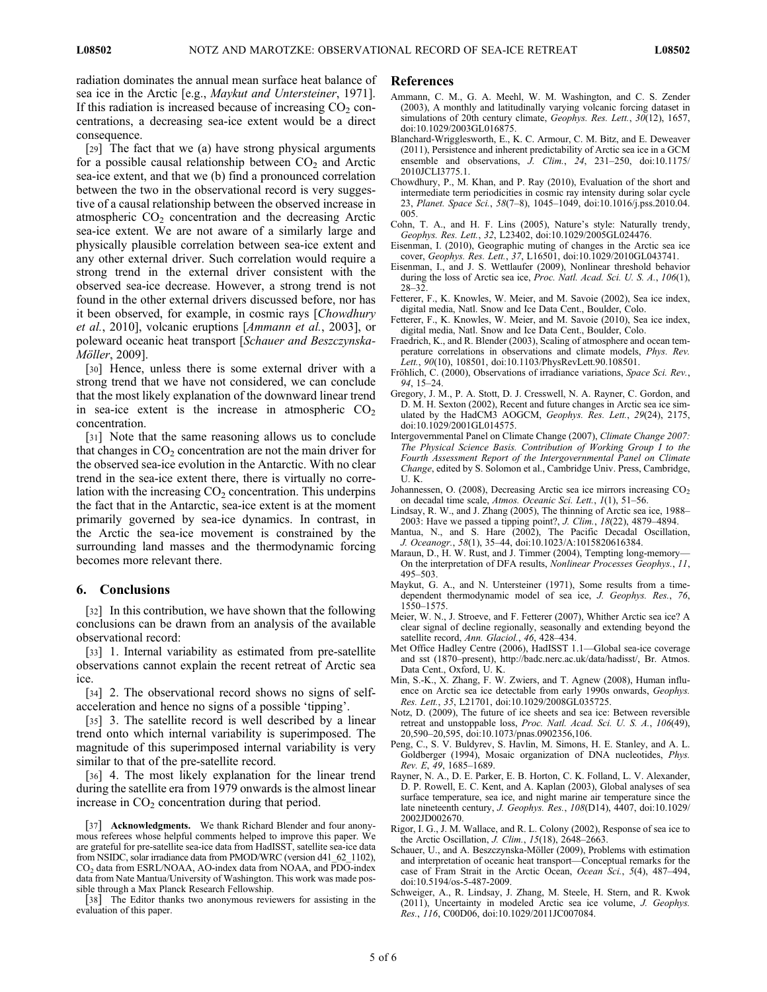radiation dominates the annual mean surface heat balance of sea ice in the Arctic [e.g., Maykut and Untersteiner, 1971]. If this radiation is increased because of increasing  $CO<sub>2</sub>$  concentrations, a decreasing sea-ice extent would be a direct consequence.

[29] The fact that we (a) have strong physical arguments for a possible causal relationship between  $CO<sub>2</sub>$  and Arctic sea-ice extent, and that we (b) find a pronounced correlation between the two in the observational record is very suggestive of a causal relationship between the observed increase in atmospheric  $CO<sub>2</sub>$  concentration and the decreasing Arctic sea-ice extent. We are not aware of a similarly large and physically plausible correlation between sea-ice extent and any other external driver. Such correlation would require a strong trend in the external driver consistent with the observed sea-ice decrease. However, a strong trend is not found in the other external drivers discussed before, nor has it been observed, for example, in cosmic rays [Chowdhury et al., 2010], volcanic eruptions [Ammann et al., 2003], or poleward oceanic heat transport [Schauer and Beszczynska-Möller, 2009].

[30] Hence, unless there is some external driver with a strong trend that we have not considered, we can conclude that the most likely explanation of the downward linear trend in sea-ice extent is the increase in atmospheric  $CO<sub>2</sub>$ concentration.

[31] Note that the same reasoning allows us to conclude that changes in  $CO<sub>2</sub>$  concentration are not the main driver for the observed sea-ice evolution in the Antarctic. With no clear trend in the sea-ice extent there, there is virtually no correlation with the increasing  $CO<sub>2</sub>$  concentration. This underpins the fact that in the Antarctic, sea-ice extent is at the moment primarily governed by sea-ice dynamics. In contrast, in the Arctic the sea-ice movement is constrained by the surrounding land masses and the thermodynamic forcing becomes more relevant there.

### 6. Conclusions

[32] In this contribution, we have shown that the following conclusions can be drawn from an analysis of the available observational record:

[33] 1. Internal variability as estimated from pre-satellite observations cannot explain the recent retreat of Arctic sea ice.

[34] 2. The observational record shows no signs of selfacceleration and hence no signs of a possible 'tipping'.

[35] 3. The satellite record is well described by a linear trend onto which internal variability is superimposed. The magnitude of this superimposed internal variability is very similar to that of the pre-satellite record.

[36] 4. The most likely explanation for the linear trend during the satellite era from 1979 onwards is the almost linear increase in  $CO<sub>2</sub>$  concentration during that period.

[38] The Editor thanks two anonymous reviewers for assisting in the evaluation of this paper.

#### References

- Ammann, C. M., G. A. Meehl, W. M. Washington, and C. S. Zender (2003), A monthly and latitudinally varying volcanic forcing dataset in simulations of 20th century climate, Geophys. Res. Lett., 30(12), 1657, doi:10.1029/2003GL016875.
- Blanchard-Wrigglesworth, E., K. C. Armour, C. M. Bitz, and E. Deweaver (2011), Persistence and inherent predictability of Arctic sea ice in a GCM ensemble and observations, J. Clim., 24, 231-250, doi:10.1175/ 2010JCLI3775.1.
- Chowdhury, P., M. Khan, and P. Ray (2010), Evaluation of the short and intermediate term periodicities in cosmic ray intensity during solar cycle 23, Planet. Space Sci., 58(7–8), 1045–1049, doi:10.1016/j.pss.2010.04. 005.
- Cohn, T. A., and H. F. Lins (2005), Nature's style: Naturally trendy, Geophys. Res. Lett., 32, L23402, doi:10.1029/2005GL024476.
- Eisenman, I. (2010), Geographic muting of changes in the Arctic sea ice cover, Geophys. Res. Lett., 37, L16501, doi:10.1029/2010GL043741.
- Eisenman, I., and J. S. Wettlaufer (2009), Nonlinear threshold behavior during the loss of Arctic sea ice, Proc. Natl. Acad. Sci. U. S. A., 106(1), 28–32.
- Fetterer, F., K. Knowles, W. Meier, and M. Savoie (2002), Sea ice index, digital media, Natl. Snow and Ice Data Cent., Boulder, Colo.
- Fetterer, F., K. Knowles, W. Meier, and M. Savoie (2010), Sea ice index, digital media, Natl. Snow and Ice Data Cent., Boulder, Colo.
- Fraedrich, K., and R. Blender (2003), Scaling of atmosphere and ocean temperature correlations in observations and climate models, Phys. Rev. Lett., 90(10), 108501, doi:10.1103/PhysRevLett.90.108501.
- Fröhlich, C. (2000), Observations of irradiance variations, Space Sci. Rev., 94, 15–24.
- Gregory, J. M., P. A. Stott, D. J. Cresswell, N. A. Rayner, C. Gordon, and D. M. H. Sexton (2002), Recent and future changes in Arctic sea ice simulated by the HadCM3 AOGCM, Geophys. Res. Lett., 29(24), 2175, doi:10.1029/2001GL014575.
- Intergovernmental Panel on Climate Change (2007), Climate Change 2007: The Physical Science Basis. Contribution of Working Group I to the Fourth Assessment Report of the Intergovernmental Panel on Climate Change, edited by S. Solomon et al., Cambridge Univ. Press, Cambridge, U. K.
- Johannessen, O. (2008), Decreasing Arctic sea ice mirrors increasing  $CO<sub>2</sub>$ on decadal time scale, Atmos. Oceanic Sci. Lett., 1(1), 51–56.
- Lindsay, R. W., and J. Zhang (2005), The thinning of Arctic sea ice, 1988– 2003: Have we passed a tipping point?, J. Clim., 18(22), 4879–4894.
- Mantua, N., and S. Hare (2002), The Pacific Decadal Oscillation, J. Oceanogr., 58(1), 35–44, doi:10.1023/A:1015820616384.
- Maraun, D., H. W. Rust, and J. Timmer (2004), Tempting long-memory— On the interpretation of DFA results, Nonlinear Processes Geophys., 11, 495–503.
- Maykut, G. A., and N. Untersteiner (1971), Some results from a timedependent thermodynamic model of sea ice, J. Geophys. Res., 76, 1550–1575.
- Meier, W. N., J. Stroeve, and F. Fetterer (2007), Whither Arctic sea ice? A clear signal of decline regionally, seasonally and extending beyond the satellite record, Ann. Glaciol., 46, 428–434.
- Met Office Hadley Centre (2006), HadISST 1.1—Global sea-ice coverage and sst (1870–present), http://badc.nerc.ac.uk/data/hadisst/, Br. Atmos. Data Cent., Oxford, U. K.
- Min, S.-K., X. Zhang, F. W. Zwiers, and T. Agnew (2008), Human influence on Arctic sea ice detectable from early 1990s onwards, Geophys. Res. Lett., 35, L21701, doi:10.1029/2008GL035725.
- Notz, D. (2009), The future of ice sheets and sea ice: Between reversible retreat and unstoppable loss, Proc. Natl. Acad. Sci. U. S. A., 106(49), 20,590–20,595, doi:10.1073/pnas.0902356,106.
- Peng, C., S. V. Buldyrev, S. Havlin, M. Simons, H. E. Stanley, and A. L. Goldberger (1994), Mosaic organization of DNA nucleotides, Phys. Rev. E, 49, 1685–1689.
- Rayner, N. A., D. E. Parker, E. B. Horton, C. K. Folland, L. V. Alexander, D. P. Rowell, E. C. Kent, and A. Kaplan (2003), Global analyses of sea surface temperature, sea ice, and night marine air temperature since the late nineteenth century, J. Geophys. Res., 108(D14), 4407, doi:10.1029/ 2002JD002670.
- Rigor, I. G., J. M. Wallace, and R. L. Colony (2002), Response of sea ice to the Arctic Oscillation, J. Clim., 15(18), 2648–2663.
- Schauer, U., and A. Beszczynska-Möller (2009), Problems with estimation and interpretation of oceanic heat transport—Conceptual remarks for the case of Fram Strait in the Arctic Ocean, Ocean Sci., 5(4), 487–494, doi:10.5194/os-5-487-2009.
- Schweiger, A., R. Lindsay, J. Zhang, M. Steele, H. Stern, and R. Kwok (2011), Uncertainty in modeled Arctic sea ice volume, J. Geophys. Res., 116, C00D06, doi:10.1029/2011JC007084.

<sup>[37]</sup> Acknowledgments. We thank Richard Blender and four anonymous referees whose helpful comments helped to improve this paper. We are grateful for pre-satellite sea-ice data from HadISST, satellite sea-ice data from NSIDC, solar irradiance data from PMOD/WRC (version d41\_62\_1102), CO2 data from ESRL/NOAA, AO-index data from NOAA, and PDO-index data from Nate Mantua/University of Washington. This work was made possible through a Max Planck Research Fellowship.